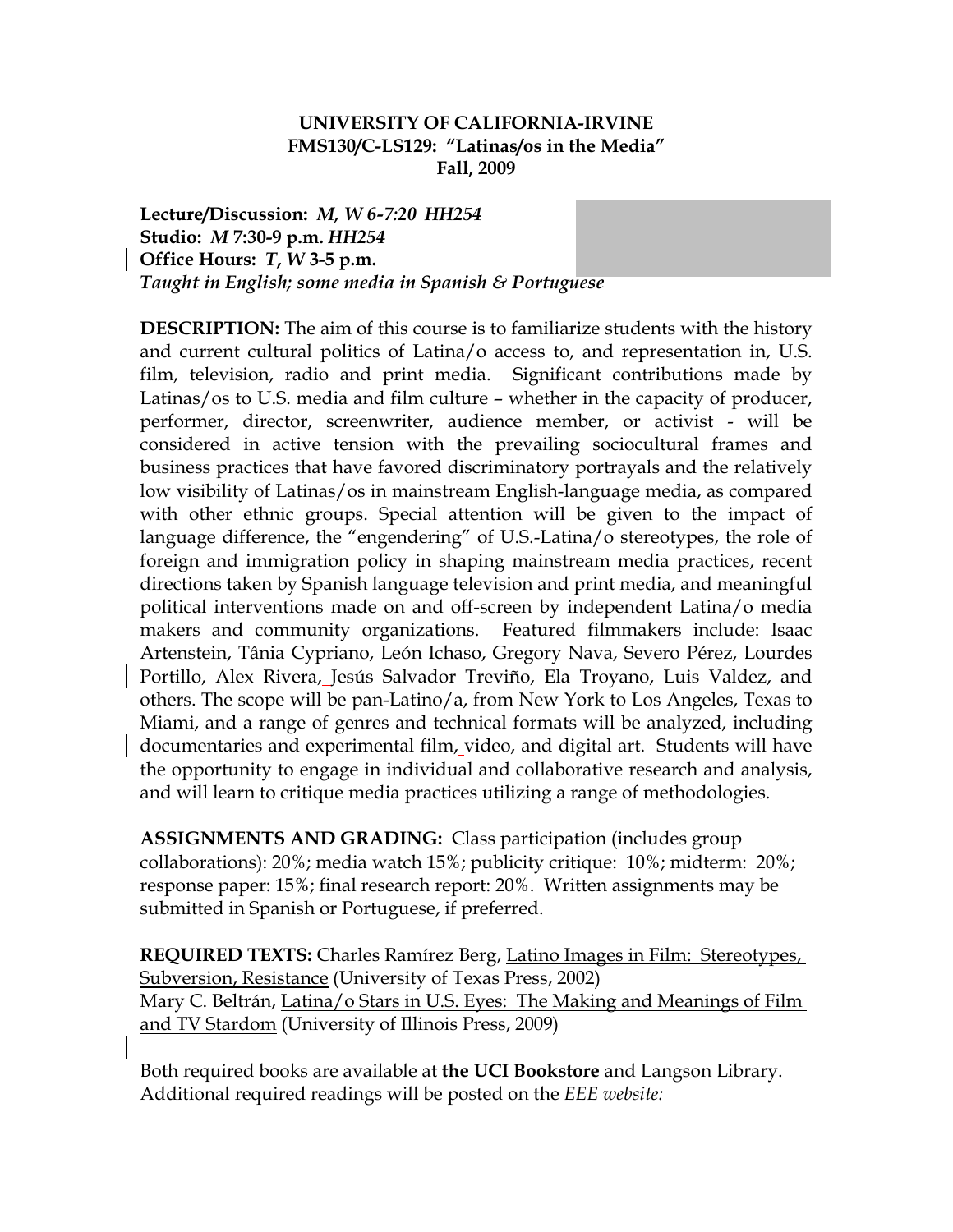# **UNIVERSITY OF CALIFORNIA-IRVINE FMS130/C-LS129: "Latinas/os in the Media" Fall, 2009**

Lecture/Discussion: *M, W 6-7:20 HH254* **Studio:** *M* **7:30-9 p.m.** *HH254* **cbenamou@uci.edu Office Hours:** *T***,** *W* **3-5 p.m.** *Taught in English; some media in Spanish & Portuguese* 

**DESCRIPTION:** The aim of this course is to familiarize students with the history and current cultural politics of Latina/o access to, and representation in, U.S. film, television, radio and print media. Significant contributions made by Latinas/os to U.S. media and film culture – whether in the capacity of producer, performer, director, screenwriter, audience member, or activist - will be considered in active tension with the prevailing sociocultural frames and business practices that have favored discriminatory portrayals and the relatively low visibility of Latinas/os in mainstream English-language media, as compared with other ethnic groups. Special attention will be given to the impact of language difference, the "engendering" of U.S.-Latina/o stereotypes, the role of foreign and immigration policy in shaping mainstream media practices, recent directions taken by Spanish language television and print media, and meaningful political interventions made on and off-screen by independent Latina/o media makers and community organizations. Featured filmmakers include: Isaac Artenstein, Tânia Cypriano, León Ichaso, Gregory Nava, Severo Pérez, Lourdes Portillo, Alex Rivera, Jesús Salvador Treviño, Ela Troyano, Luis Valdez, and others. The scope will be pan-Latino/a, from New York to Los Angeles, Texas to Miami, and a range of genres and technical formats will be analyzed, including documentaries and experimental film, video, and digital art. Students will have the opportunity to engage in individual and collaborative research and analysis, and will learn to critique media practices utilizing a range of methodologies.

**ASSIGNMENTS AND GRADING:** Class participation (includes group collaborations): 20%; media watch 15%; publicity critique: 10%; midterm: 20%; response paper: 15%; final research report: 20%. Written assignments may be submitted in Spanish or Portuguese, if preferred.

**REQUIRED TEXTS:** Charles Ramírez Berg, Latino Images in Film: Stereotypes, Subversion, Resistance (University of Texas Press, 2002) Mary C. Beltrán, Latina/o Stars in U.S. Eyes: The Making and Meanings of Film and TV Stardom (University of Illinois Press, 2009)

Both required books are available at **the UCI Bookstore** and Langson Library. Additional required readings will be posted on the *EEE website:*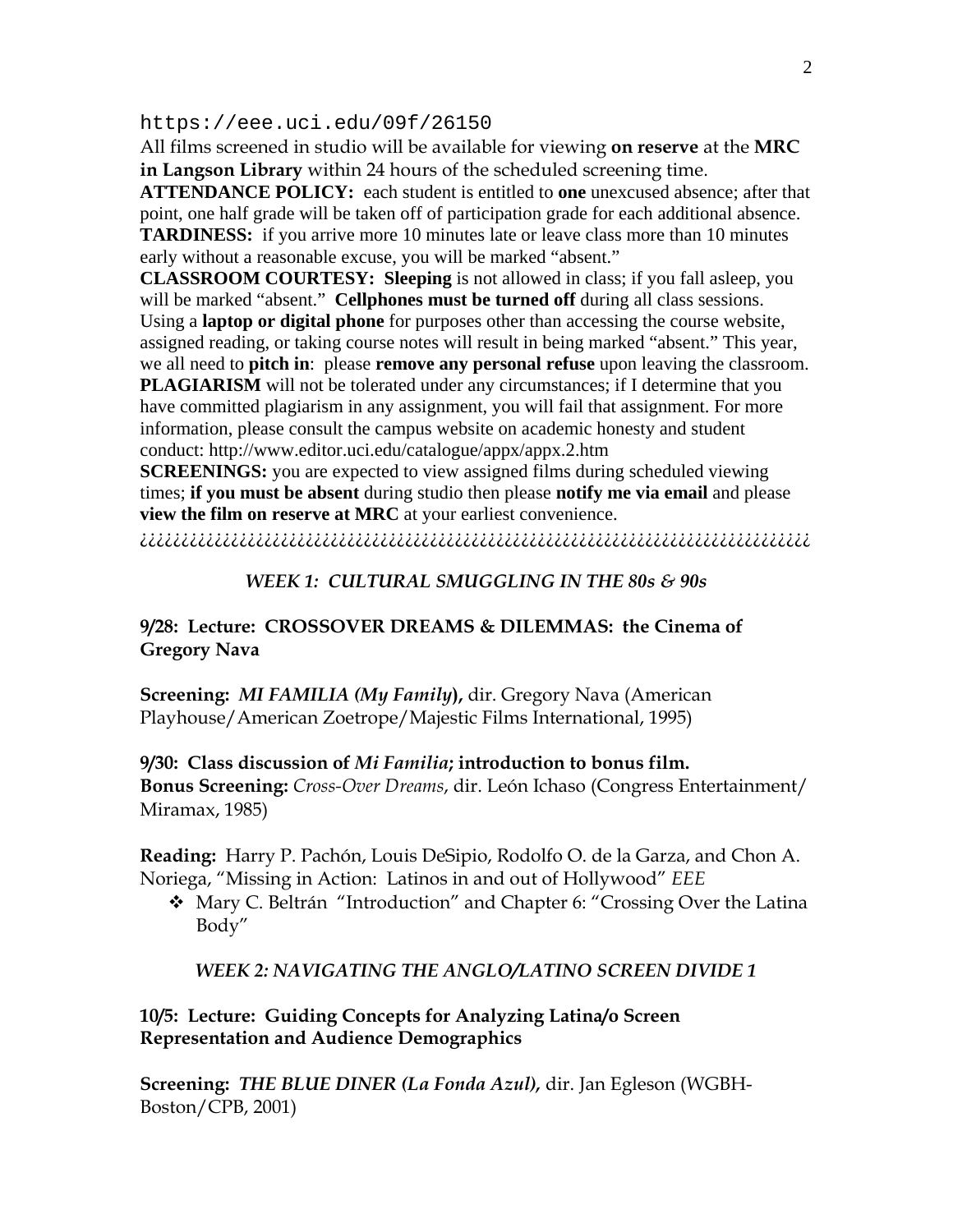#### https://eee.uci.edu/09f/26150

All films screened in studio will be available for viewing **on reserve** at the **MRC in Langson Library** within 24 hours of the scheduled screening time.

**ATTENDANCE POLICY:** each student is entitled to **one** unexcused absence; after that point, one half grade will be taken off of participation grade for each additional absence. **TARDINESS:** if you arrive more 10 minutes late or leave class more than 10 minutes early without a reasonable excuse, you will be marked "absent."

**CLASSROOM COURTESY: Sleeping** is not allowed in class; if you fall asleep, you will be marked "absent." **Cellphones must be turned off** during all class sessions. Using a **laptop or digital phone** for purposes other than accessing the course website, assigned reading, or taking course notes will result in being marked "absent." This year, we all need to **pitch in**: please **remove any personal refuse** upon leaving the classroom.

**PLAGIARISM** will not be tolerated under any circumstances; if I determine that you have committed plagiarism in any assignment, you will fail that assignment. For more information, please consult the campus website on academic honesty and student conduct: http://www.editor.uci.edu/catalogue/appx/appx.2.htm

**SCREENINGS:** you are expected to view assigned films during scheduled viewing times; **if you must be absent** during studio then please **notify me via email** and please **view the film on reserve at MRC** at your earliest convenience.

¿¿¿¿¿¿¿¿¿¿¿¿¿¿¿¿¿¿¿¿¿¿¿¿¿¿¿¿¿¿¿¿¿¿¿¿¿¿¿¿¿¿¿¿¿¿¿¿¿¿¿¿¿¿¿¿¿¿¿¿¿¿¿¿¿¿¿¿¿¿¿¿¿¿¿¿¿¿¿¿¿

#### *WEEK 1: CULTURAL SMUGGLING IN THE 80s & 90s*

#### **9/28: Lecture: CROSSOVER DREAMS & DILEMMAS: the Cinema of Gregory Nava**

**Screening:** *MI FAMILIA (My Family***),** dir. Gregory Nava (American Playhouse/American Zoetrope/Majestic Films International, 1995)

**9/30: Class discussion of** *Mi Familia***; introduction to bonus film. Bonus Screening:** *Cross-Over Dreams*, dir. León Ichaso (Congress Entertainment/ Miramax, 1985)

**Reading:** Harry P. Pachón, Louis DeSipio, Rodolfo O. de la Garza, and Chon A. Noriega, "Missing in Action: Latinos in and out of Hollywood" *EEE* 

 Mary C. Beltrán "Introduction" and Chapter 6: "Crossing Over the Latina Body"

*WEEK 2: NAVIGATING THE ANGLO/LATINO SCREEN DIVIDE 1* 

**10/5: Lecture: Guiding Concepts for Analyzing Latina/o Screen Representation and Audience Demographics** 

**Screening:** *THE BLUE DINER (La Fonda Azul),* dir. Jan Egleson (WGBH-Boston/CPB, 2001)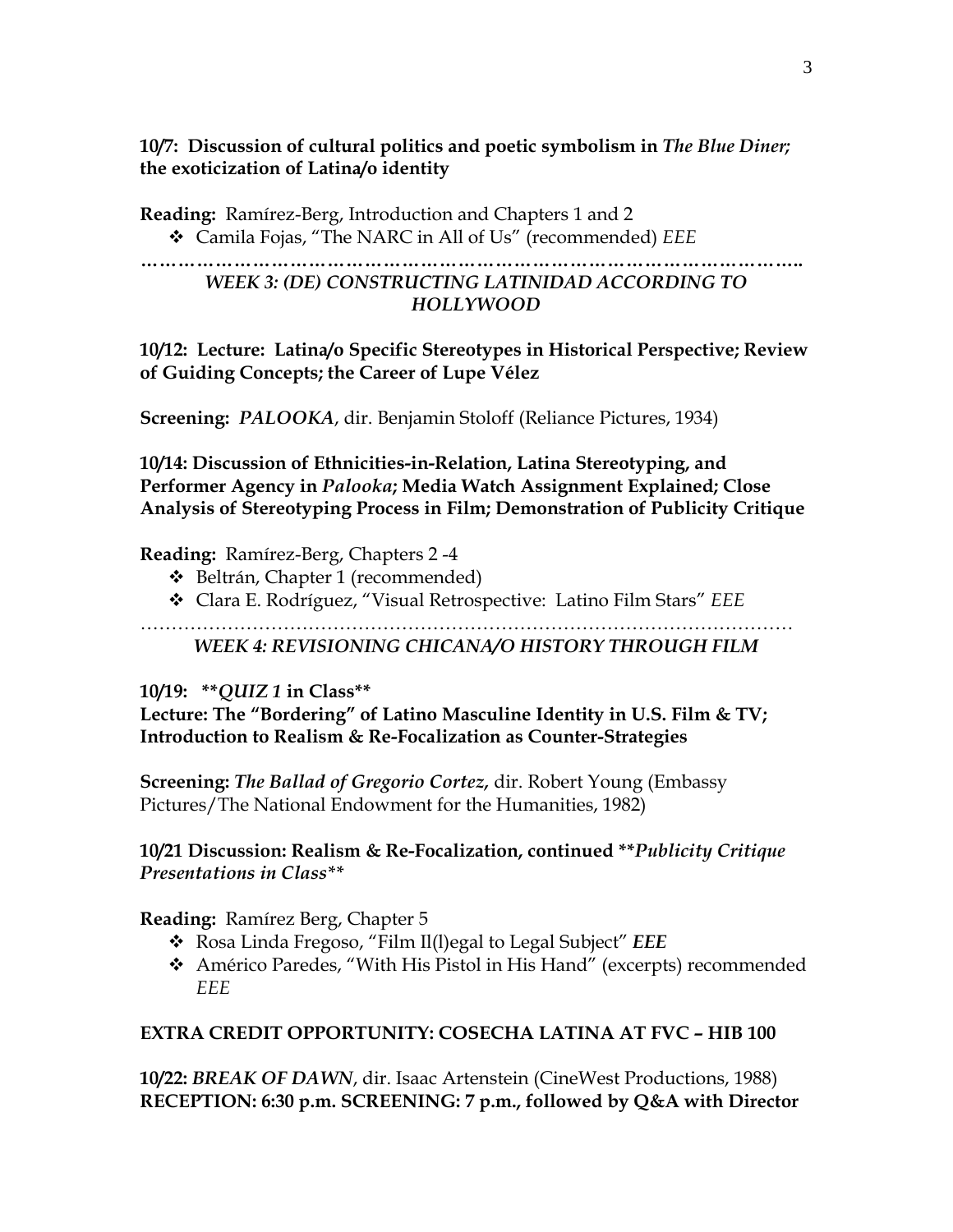**10/7: Discussion of cultural politics and poetic symbolism in** *The Blue Diner;*  **the exoticization of Latina/o identity** 

**Reading:** Ramírez-Berg, Introduction and Chapters 1 and 2 Camila Fojas, "The NARC in All of Us" (recommended) *EEE*

### **……………………………………………………………………………………………..**  *WEEK 3: (DE) CONSTRUCTING LATINIDAD ACCORDING TO HOLLYWOOD*

**10/12: Lecture: Latina/o Specific Stereotypes in Historical Perspective; Review of Guiding Concepts; the Career of Lupe Vélez** 

**Screening:** *PALOOKA*, dir. Benjamin Stoloff (Reliance Pictures, 1934)

**10/14: Discussion of Ethnicities-in-Relation, Latina Stereotyping, and Performer Agency in** *Palooka***; Media Watch Assignment Explained; Close Analysis of Stereotyping Process in Film; Demonstration of Publicity Critique** 

#### **Reading:** Ramírez-Berg, Chapters 2 -4

- ◆ Beltrán, Chapter 1 (recommended)
- Clara E. Rodríguez, "Visual Retrospective: Latino Film Stars" *EEE*

…………………………………………………………………………………………… *WEEK 4: REVISIONING CHICANA/O HISTORY THROUGH FILM* 

### **10/19: \*\****QUIZ 1* **in Class\*\***

**Lecture: The "Bordering" of Latino Masculine Identity in U.S. Film & TV; Introduction to Realism & Re-Focalization as Counter-Strategies** 

**Screening:** *The Ballad of Gregorio Cortez,* dir. Robert Young (Embassy Pictures/The National Endowment for the Humanities, 1982)

### **10/21 Discussion: Realism & Re-Focalization, continued \*\****Publicity Critique Presentations in Class\*\**

**Reading:** Ramírez Berg, Chapter 5

- Rosa Linda Fregoso, "Film Il(l)egal to Legal Subject" *EEE*
- Américo Paredes, "With His Pistol in His Hand" (excerpts) recommended *EEE*

### **EXTRA CREDIT OPPORTUNITY: COSECHA LATINA AT FVC – HIB 100**

**10/22:** *BREAK OF DAWN*, dir. Isaac Artenstein (CineWest Productions, 1988) **RECEPTION: 6:30 p.m. SCREENING: 7 p.m., followed by Q&A with Director**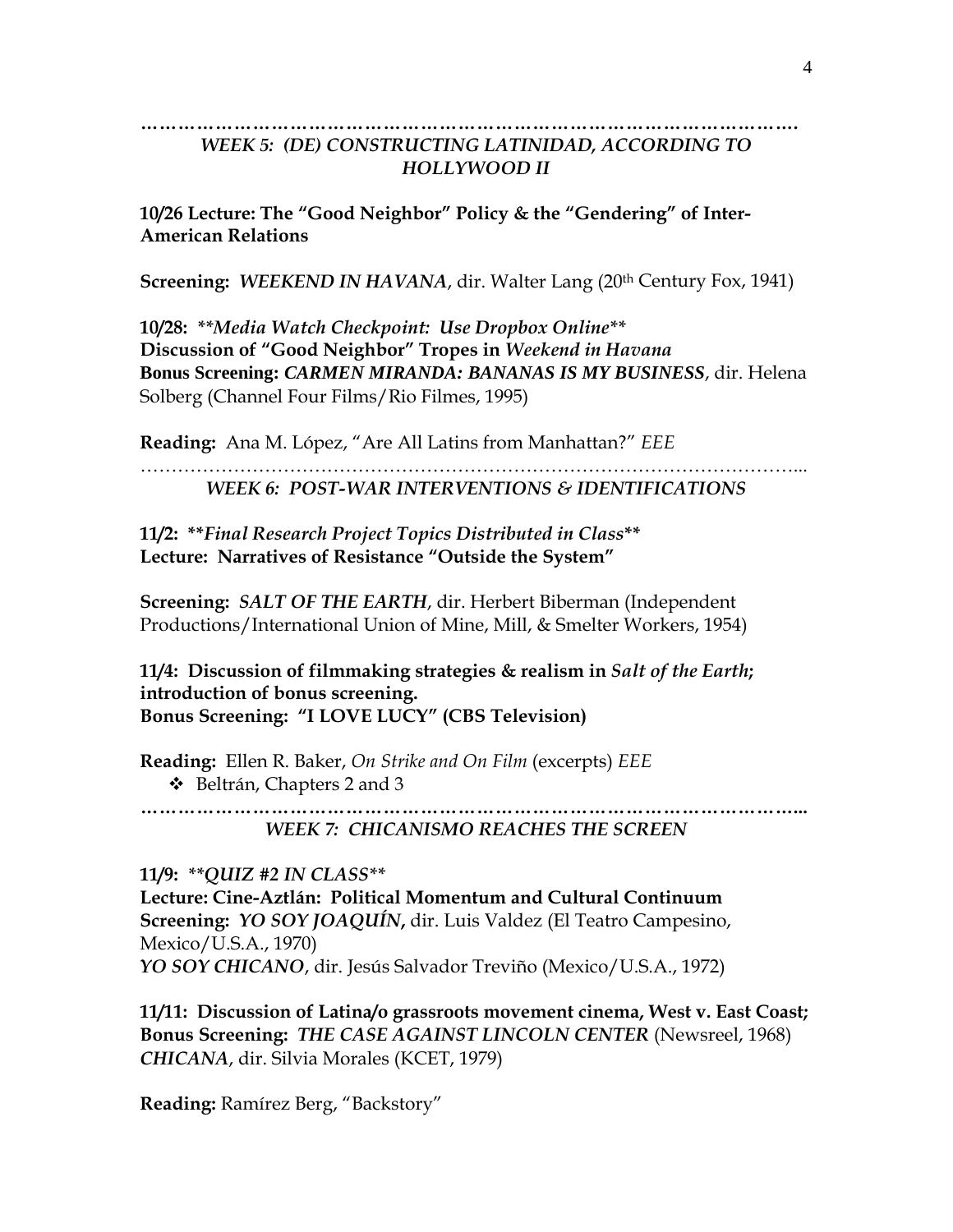#### **…………………………………………………………………………………………….**  *WEEK 5: (DE) CONSTRUCTING LATINIDAD, ACCORDING TO HOLLYWOOD II*

**10/26 Lecture: The "Good Neighbor" Policy & the "Gendering" of Inter-American Relations** 

**Screening: WEEKEND IN HAVANA, dir. Walter Lang (20<sup>th</sup> Century Fox, 1941)** 

**10/28:** *\*\*Media Watch Checkpoint: Use Dropbox Online\*\**  **Discussion of "Good Neighbor" Tropes in** *Weekend in Havana* **Bonus Screening:** *CARMEN MIRANDA: BANANAS IS MY BUSINESS*, dir. Helena Solberg (Channel Four Films/Rio Filmes, 1995)

**Reading:** Ana M. López, "Are All Latins from Manhattan?" *EEE* 

……………………………………………………………………………………………... *WEEK 6: POST-WAR INTERVENTIONS & IDENTIFICATIONS* 

**11/2: \*\****Final Research Project Topics Distributed in Class***\*\* Lecture: Narratives of Resistance "Outside the System"** 

**Screening:** *SALT OF THE EARTH*, dir. Herbert Biberman (Independent Productions/International Union of Mine, Mill, & Smelter Workers, 1954)

**11/4: Discussion of filmmaking strategies & realism in** *Salt of the Earth***; introduction of bonus screening. Bonus Screening: "I LOVE LUCY" (CBS Television)** 

**Reading:** Ellen R. Baker, *On Strike and On Film* (excerpts) *EEE*  $\div$  Beltrán, Chapters 2 and 3

**……………………………………………………………………………………………...** 

*WEEK 7: CHICANISMO REACHES THE SCREEN* 

**11/9:** *\*\*QUIZ #2 IN CLASS\*\** 

**Lecture: Cine-Aztlán: Political Momentum and Cultural Continuum Screening:** *YO SOY JOAQUÍN***,** dir. Luis Valdez (El Teatro Campesino, Mexico/U.S.A., 1970) *YO SOY CHICANO*, dir. Jesús Salvador Treviño (Mexico/U.S.A., 1972)

**11/11: Discussion of Latina/o grassroots movement cinema, West v. East Coast; Bonus Screening:** *THE CASE AGAINST LINCOLN CENTER* (Newsreel, 1968) *CHICANA*, dir. Silvia Morales (KCET, 1979)

**Reading:** Ramírez Berg, "Backstory"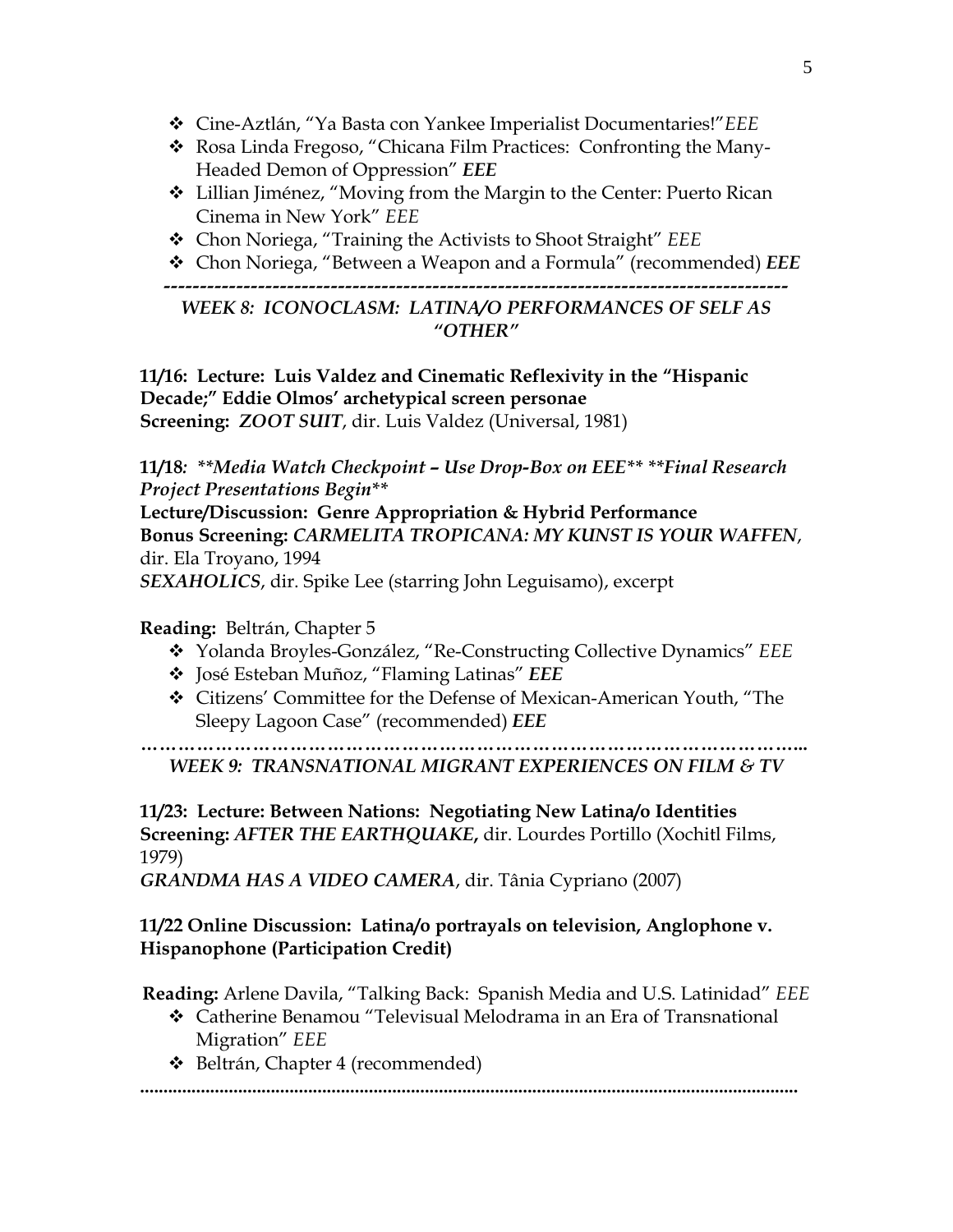- Cine-Aztlán, "Ya Basta con Yankee Imperialist Documentaries!"*EEE*
- Rosa Linda Fregoso, "Chicana Film Practices: Confronting the Many-Headed Demon of Oppression" *EEE*
- Lillian Jiménez, "Moving from the Margin to the Center: Puerto Rican Cinema in New York" *EEE*
- Chon Noriega, "Training the Activists to Shoot Straight" *EEE*
- Chon Noriega, "Between a Weapon and a Formula" (recommended) *EEE*

*--------------------------------------------------------------------------------------* 

*WEEK 8: ICONOCLASM: LATINA/O PERFORMANCES OF SELF AS "OTHER"*

**11/16: Lecture: Luis Valdez and Cinematic Reflexivity in the "Hispanic Decade;" Eddie Olmos' archetypical screen personae Screening:** *ZOOT SUIT*, dir. Luis Valdez (Universal, 1981)

**11/18***: \*\*Media Watch Checkpoint – Use Drop-Box on EEE\*\* \*\*Final Research Project Presentations Begin\*\** 

**Lecture/Discussion: Genre Appropriation & Hybrid Performance Bonus Screening:** *CARMELITA TROPICANA: MY KUNST IS YOUR WAFFEN*, dir. Ela Troyano, 1994

*SEXAHOLICS*, dir. Spike Lee (starring John Leguisamo), excerpt

### **Reading:** Beltrán, Chapter 5

- Yolanda Broyles-González, "Re-Constructing Collective Dynamics" *EEE*
- José Esteban Muñoz, "Flaming Latinas" *EEE*
- Citizens' Committee for the Defense of Mexican-American Youth, "The Sleepy Lagoon Case" (recommended) *EEE*

**……………………………………………………………………………………………...**  *WEEK 9: TRANSNATIONAL MIGRANT EXPERIENCES ON FILM & TV* 

**11/23: Lecture: Between Nations: Negotiating New Latina/o Identities Screening:** *AFTER THE EARTHQUAKE***,** dir. Lourdes Portillo (Xochitl Films, 1979)

*GRANDMA HAS A VIDEO CAMERA*, dir. Tânia Cypriano (2007)

# **11/22 Online Discussion: Latina/o portrayals on television, Anglophone v. Hispanophone (Participation Credit)**

**Reading:** Arlene Davila, "Talking Back: Spanish Media and U.S. Latinidad" *EEE* 

- Catherine Benamou "Televisual Melodrama in an Era of Transnational Migration" *EEE*
- Beltrán, Chapter 4 (recommended)

**.............................................................................................................................................**